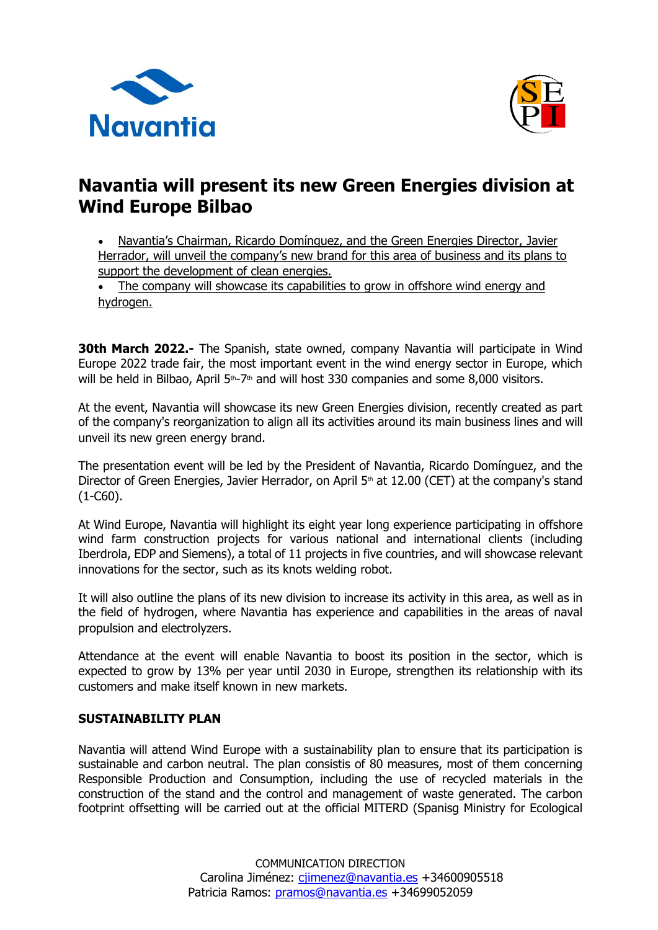



## **Navantia will present its new Green Energies division at Wind Europe Bilbao**

• Navantia's Chairman, Ricardo Domínguez, and the Green Energies Director, Javier Herrador, will unveil the company's new brand for this area of business and its plans to support the development of clean energies.

• The company will showcase its capabilities to grow in offshore wind energy and hydrogen.

**30th March 2022.-** The Spanish, state owned, company Navantia will participate in Wind Europe 2022 trade fair, the most important event in the wind energy sector in Europe, which will be held in Bilbao, April  $5<sup>th</sup>-7<sup>th</sup>$  and will host 330 companies and some 8,000 visitors.

At the event, Navantia will showcase its new Green Energies division, recently created as part of the company's reorganization to align all its activities around its main business lines and will unveil its new green energy brand.

The presentation event will be led by the President of Navantia, Ricardo Domínguez, and the Director of Green Energies, Javier Herrador, on April  $5<sup>th</sup>$  at 12.00 (CET) at the company's stand (1-C60).

At Wind Europe, Navantia will highlight its eight year long experience participating in offshore wind farm construction projects for various national and international clients (including Iberdrola, EDP and Siemens), a total of 11 projects in five countries, and will showcase relevant innovations for the sector, such as its knots welding robot.

It will also outline the plans of its new division to increase its activity in this area, as well as in the field of hydrogen, where Navantia has experience and capabilities in the areas of naval propulsion and electrolyzers.

Attendance at the event will enable Navantia to boost its position in the sector, which is expected to grow by 13% per year until 2030 in Europe, strengthen its relationship with its customers and make itself known in new markets.

## **SUSTAINABILITY PLAN**

Navantia will attend Wind Europe with a sustainability plan to ensure that its participation is sustainable and carbon neutral. The plan consistis of 80 measures, most of them concerning Responsible Production and Consumption, including the use of recycled materials in the construction of the stand and the control and management of waste generated. The carbon footprint offsetting will be carried out at the official MITERD (Spanisg Ministry for Ecological